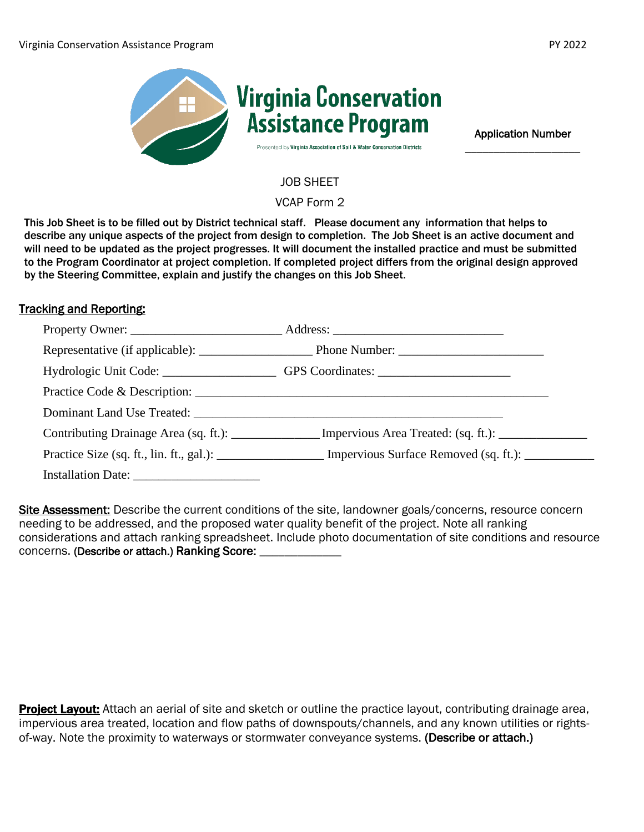

Application Number \_\_\_\_\_\_\_\_\_\_\_\_\_\_\_\_\_\_\_\_

JOB SHEET

VCAP Form 2

This Job Sheet is to be filled out by District technical staff. Please document any information that helps to describe any unique aspects of the project from design to completion. The Job Sheet is an active document and will need to be updated as the project progresses. It will document the installed practice and must be submitted to the Program Coordinator at project completion. If completed project differs from the original design approved by the Steering Committee, explain and justify the changes on this Job Sheet.

## Tracking and Reporting:

| Hydrologic Unit Code: ____________________GPS Coordinates: _____________________ |                                                                                                                |
|----------------------------------------------------------------------------------|----------------------------------------------------------------------------------------------------------------|
|                                                                                  |                                                                                                                |
|                                                                                  |                                                                                                                |
|                                                                                  | Contributing Drainage Area (sq. ft.): _______________ Impervious Area Treated: (sq. ft.): _________            |
|                                                                                  | Practice Size (sq. ft., lin. ft., gal.): ____________________ Impervious Surface Removed (sq. ft.): __________ |
|                                                                                  |                                                                                                                |

Site Assessment: Describe the current conditions of the site, landowner goals/concerns, resource concern needing to be addressed, and the proposed water quality benefit of the project. Note all ranking considerations and attach ranking spreadsheet. Include photo documentation of site conditions and resource concerns. (Describe or attach.) Ranking Score: \_\_\_\_\_\_

**Project Layout:** Attach an aerial of site and sketch or outline the practice layout, contributing drainage area, impervious area treated, location and flow paths of downspouts/channels, and any known utilities or rightsof-way. Note the proximity to waterways or stormwater conveyance systems. (Describe or attach.)